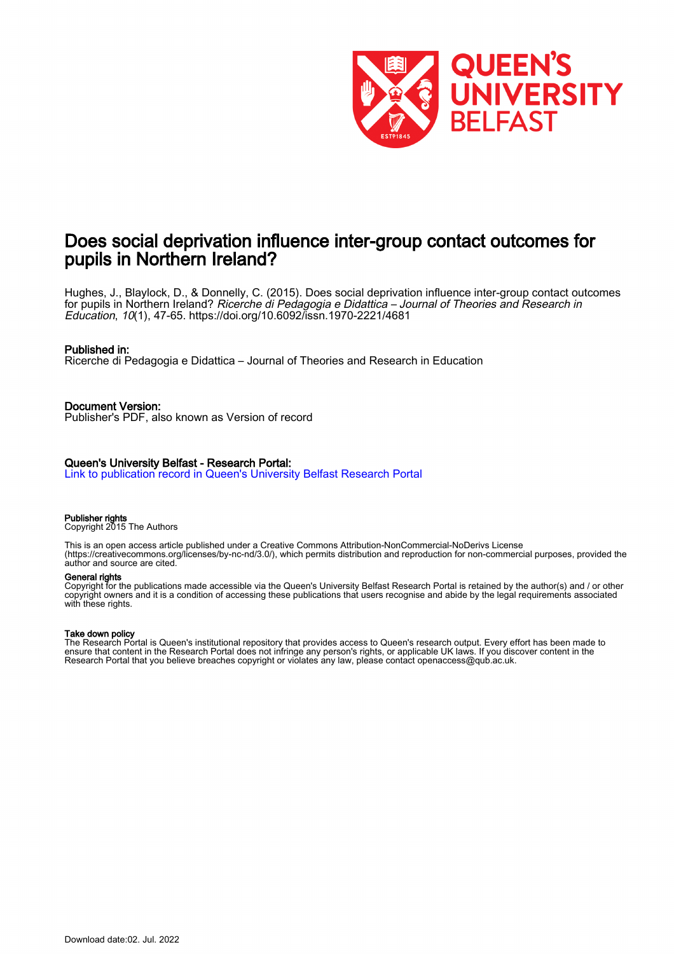

# Does social deprivation influence inter-group contact outcomes for pupils in Northern Ireland?

Hughes, J., Blaylock, D., & Donnelly, C. (2015). Does social deprivation influence inter-group contact outcomes for pupils in Northern Ireland? Ricerche di Pedagogia e Didattica – Journal of Theories and Research in Education, 10(1), 47-65. <https://doi.org/10.6092/issn.1970-2221/4681>

## Published in:

Ricerche di Pedagogia e Didattica – Journal of Theories and Research in Education

Document Version: Publisher's PDF, also known as Version of record

## Queen's University Belfast - Research Portal:

[Link to publication record in Queen's University Belfast Research Portal](https://pure.qub.ac.uk/en/publications/28a59559-069d-41ff-8cf6-eafe3a6f80a7)

Publisher rights

Copyright 2015 The Authors

This is an open access article published under a Creative Commons Attribution-NonCommercial-NoDerivs License (https://creativecommons.org/licenses/by-nc-nd/3.0/), which permits distribution and reproduction for non-commercial purposes, provided the author and source are cited.

## General rights

Copyright for the publications made accessible via the Queen's University Belfast Research Portal is retained by the author(s) and / or other copyright owners and it is a condition of accessing these publications that users recognise and abide by the legal requirements associated with these rights.

#### Take down policy

The Research Portal is Queen's institutional repository that provides access to Queen's research output. Every effort has been made to ensure that content in the Research Portal does not infringe any person's rights, or applicable UK laws. If you discover content in the Research Portal that you believe breaches copyright or violates any law, please contact openaccess@qub.ac.uk.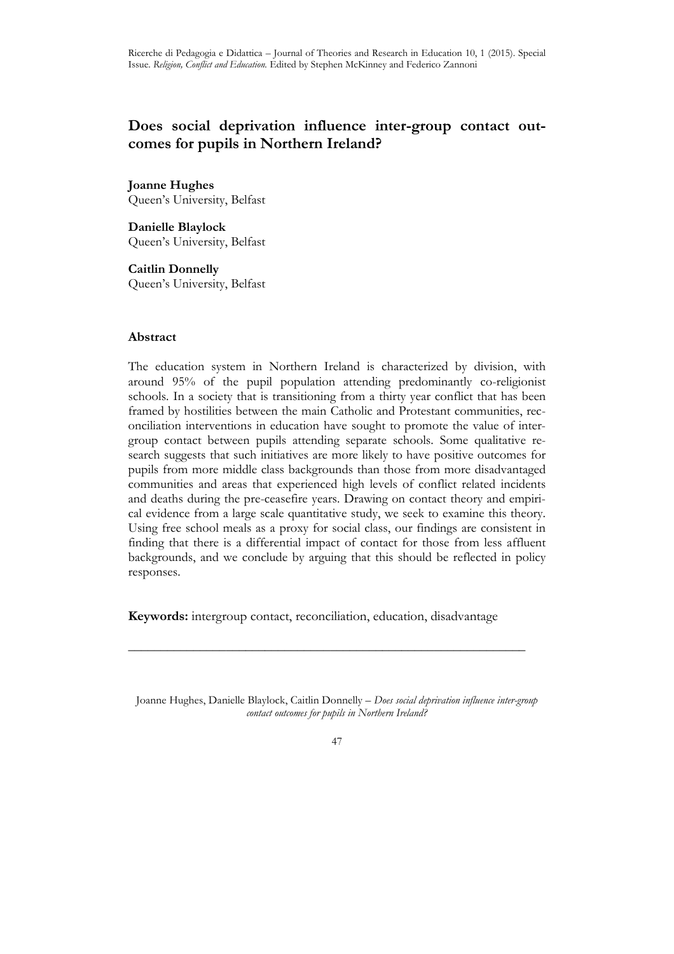## **Does social deprivation influence inter-group contact outcomes for pupils in Northern Ireland?**

**Joanne Hughes** Queen's University, Belfast

**Danielle Blaylock** Queen's University, Belfast

**Caitlin Donnelly**  Queen's University, Belfast

## **Abstract**

The education system in Northern Ireland is characterized by division, with around 95% of the pupil population attending predominantly co-religionist schools. In a society that is transitioning from a thirty year conflict that has been framed by hostilities between the main Catholic and Protestant communities, reconciliation interventions in education have sought to promote the value of intergroup contact between pupils attending separate schools. Some qualitative research suggests that such initiatives are more likely to have positive outcomes for pupils from more middle class backgrounds than those from more disadvantaged communities and areas that experienced high levels of conflict related incidents and deaths during the pre-ceasefire years. Drawing on contact theory and empirical evidence from a large scale quantitative study, we seek to examine this theory. Using free school meals as a proxy for social class, our findings are consistent in finding that there is a differential impact of contact for those from less affluent backgrounds, and we conclude by arguing that this should be reflected in policy responses.

**Keywords:** intergroup contact, reconciliation, education, disadvantage

**\_\_\_\_\_\_\_\_\_\_\_\_\_\_\_\_\_\_\_\_\_\_\_\_\_\_\_\_\_\_\_\_\_\_\_\_\_\_\_\_\_\_\_\_\_\_\_\_\_\_\_\_\_\_\_\_\_\_\_\_\_** 

Joanne Hughes, Danielle Blaylock, Caitlin Donnelly – *Does social deprivation influence inter-group contact outcomes for pupils in Northern Ireland?*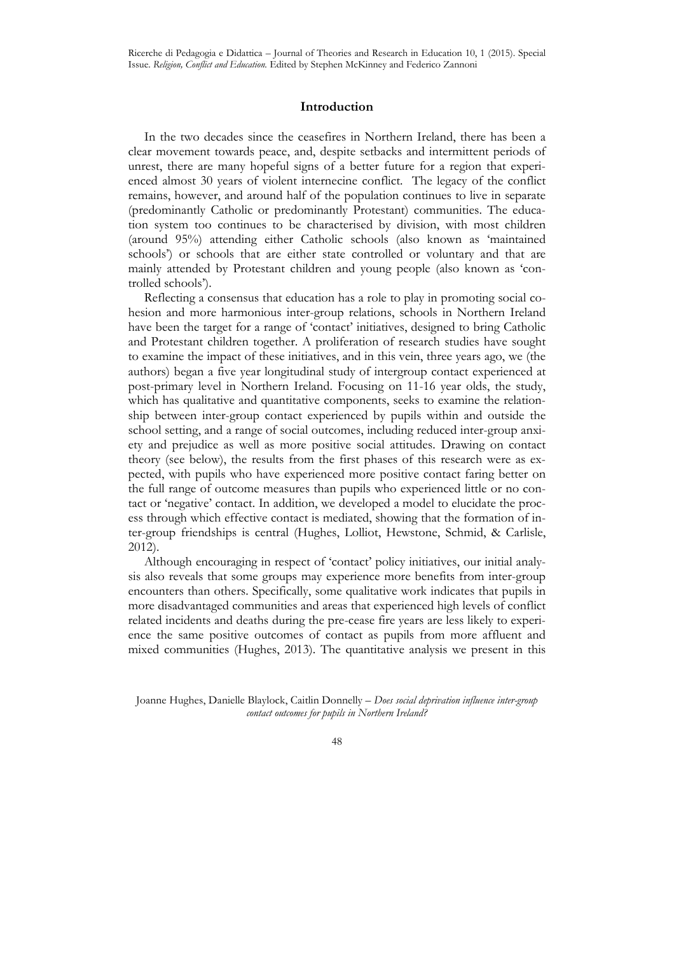## **Introduction**

In the two decades since the ceasefires in Northern Ireland, there has been a clear movement towards peace, and, despite setbacks and intermittent periods of unrest, there are many hopeful signs of a better future for a region that experienced almost 30 years of violent internecine conflict. The legacy of the conflict remains, however, and around half of the population continues to live in separate (predominantly Catholic or predominantly Protestant) communities. The education system too continues to be characterised by division, with most children (around 95%) attending either Catholic schools (also known as 'maintained schools') or schools that are either state controlled or voluntary and that are mainly attended by Protestant children and young people (also known as 'controlled schools').

Reflecting a consensus that education has a role to play in promoting social cohesion and more harmonious inter-group relations, schools in Northern Ireland have been the target for a range of 'contact' initiatives, designed to bring Catholic and Protestant children together. A proliferation of research studies have sought to examine the impact of these initiatives, and in this vein, three years ago, we (the authors) began a five year longitudinal study of intergroup contact experienced at post-primary level in Northern Ireland. Focusing on 11-16 year olds, the study, which has qualitative and quantitative components, seeks to examine the relationship between inter-group contact experienced by pupils within and outside the school setting, and a range of social outcomes, including reduced inter-group anxiety and prejudice as well as more positive social attitudes. Drawing on contact theory (see below), the results from the first phases of this research were as expected, with pupils who have experienced more positive contact faring better on the full range of outcome measures than pupils who experienced little or no contact or 'negative' contact. In addition, we developed a model to elucidate the process through which effective contact is mediated, showing that the formation of inter-group friendships is central (Hughes, Lolliot, Hewstone, Schmid, & Carlisle, 2012).

Although encouraging in respect of 'contact' policy initiatives, our initial analysis also reveals that some groups may experience more benefits from inter-group encounters than others. Specifically, some qualitative work indicates that pupils in more disadvantaged communities and areas that experienced high levels of conflict related incidents and deaths during the pre-cease fire years are less likely to experience the same positive outcomes of contact as pupils from more affluent and mixed communities (Hughes, 2013). The quantitative analysis we present in this

Joanne Hughes, Danielle Blaylock, Caitlin Donnelly – *Does social deprivation influence inter-group contact outcomes for pupils in Northern Ireland?*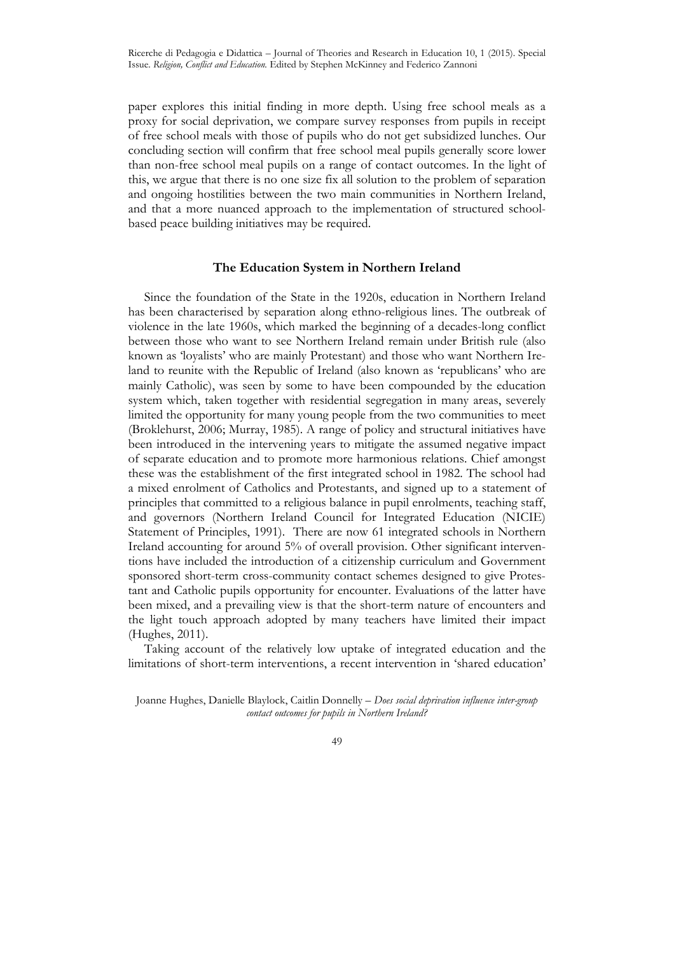paper explores this initial finding in more depth. Using free school meals as a proxy for social deprivation, we compare survey responses from pupils in receipt of free school meals with those of pupils who do not get subsidized lunches. Our concluding section will confirm that free school meal pupils generally score lower than non-free school meal pupils on a range of contact outcomes. In the light of this, we argue that there is no one size fix all solution to the problem of separation and ongoing hostilities between the two main communities in Northern Ireland, and that a more nuanced approach to the implementation of structured schoolbased peace building initiatives may be required.

## **The Education System in Northern Ireland**

Since the foundation of the State in the 1920s, education in Northern Ireland has been characterised by separation along ethno-religious lines. The outbreak of violence in the late 1960s, which marked the beginning of a decades-long conflict between those who want to see Northern Ireland remain under British rule (also known as 'loyalists' who are mainly Protestant) and those who want Northern Ireland to reunite with the Republic of Ireland (also known as 'republicans' who are mainly Catholic), was seen by some to have been compounded by the education system which, taken together with residential segregation in many areas, severely limited the opportunity for many young people from the two communities to meet (Broklehurst, 2006; Murray, 1985). A range of policy and structural initiatives have been introduced in the intervening years to mitigate the assumed negative impact of separate education and to promote more harmonious relations. Chief amongst these was the establishment of the first integrated school in 1982. The school had a mixed enrolment of Catholics and Protestants, and signed up to a statement of principles that committed to a religious balance in pupil enrolments, teaching staff, and governors (Northern Ireland Council for Integrated Education (NICIE) Statement of Principles, 1991). There are now 61 integrated schools in Northern Ireland accounting for around 5% of overall provision. Other significant interventions have included the introduction of a citizenship curriculum and Government sponsored short-term cross-community contact schemes designed to give Protestant and Catholic pupils opportunity for encounter. Evaluations of the latter have been mixed, and a prevailing view is that the short-term nature of encounters and the light touch approach adopted by many teachers have limited their impact (Hughes, 2011).

Taking account of the relatively low uptake of integrated education and the limitations of short-term interventions, a recent intervention in 'shared education'

Joanne Hughes, Danielle Blaylock, Caitlin Donnelly – *Does social deprivation influence inter-group contact outcomes for pupils in Northern Ireland?*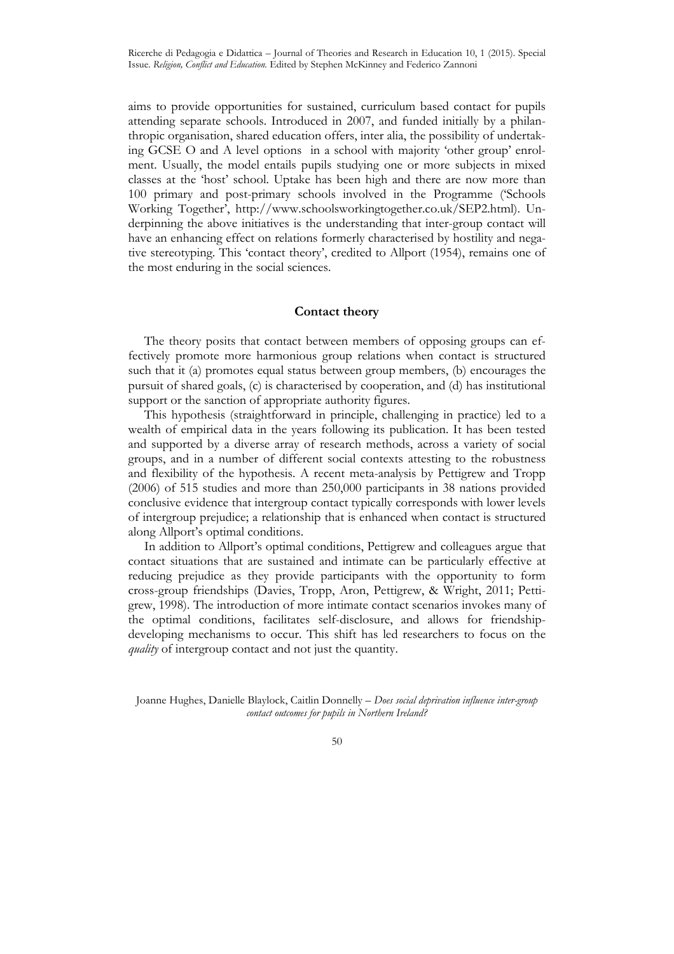aims to provide opportunities for sustained, curriculum based contact for pupils attending separate schools. Introduced in 2007, and funded initially by a philanthropic organisation, shared education offers, inter alia, the possibility of undertaking GCSE O and A level options in a school with majority 'other group' enrolment. Usually, the model entails pupils studying one or more subjects in mixed classes at the 'host' school. Uptake has been high and there are now more than 100 primary and post-primary schools involved in the Programme ('Schools Working Together', http://www.schoolsworkingtogether.co.uk/SEP2.html). Underpinning the above initiatives is the understanding that inter-group contact will have an enhancing effect on relations formerly characterised by hostility and negative stereotyping. This 'contact theory', credited to Allport (1954), remains one of the most enduring in the social sciences.

## **Contact theory**

The theory posits that contact between members of opposing groups can effectively promote more harmonious group relations when contact is structured such that it (a) promotes equal status between group members, (b) encourages the pursuit of shared goals, (c) is characterised by cooperation, and (d) has institutional support or the sanction of appropriate authority figures.

This hypothesis (straightforward in principle, challenging in practice) led to a wealth of empirical data in the years following its publication. It has been tested and supported by a diverse array of research methods, across a variety of social groups, and in a number of different social contexts attesting to the robustness and flexibility of the hypothesis. A recent meta-analysis by Pettigrew and Tropp (2006) of 515 studies and more than 250,000 participants in 38 nations provided conclusive evidence that intergroup contact typically corresponds with lower levels of intergroup prejudice; a relationship that is enhanced when contact is structured along Allport's optimal conditions.

In addition to Allport's optimal conditions, Pettigrew and colleagues argue that contact situations that are sustained and intimate can be particularly effective at reducing prejudice as they provide participants with the opportunity to form cross-group friendships (Davies, Tropp, Aron, Pettigrew, & Wright, 2011; Pettigrew, 1998). The introduction of more intimate contact scenarios invokes many of the optimal conditions, facilitates self-disclosure, and allows for friendshipdeveloping mechanisms to occur. This shift has led researchers to focus on the *quality* of intergroup contact and not just the quantity.

Joanne Hughes, Danielle Blaylock, Caitlin Donnelly – *Does social deprivation influence inter-group contact outcomes for pupils in Northern Ireland?*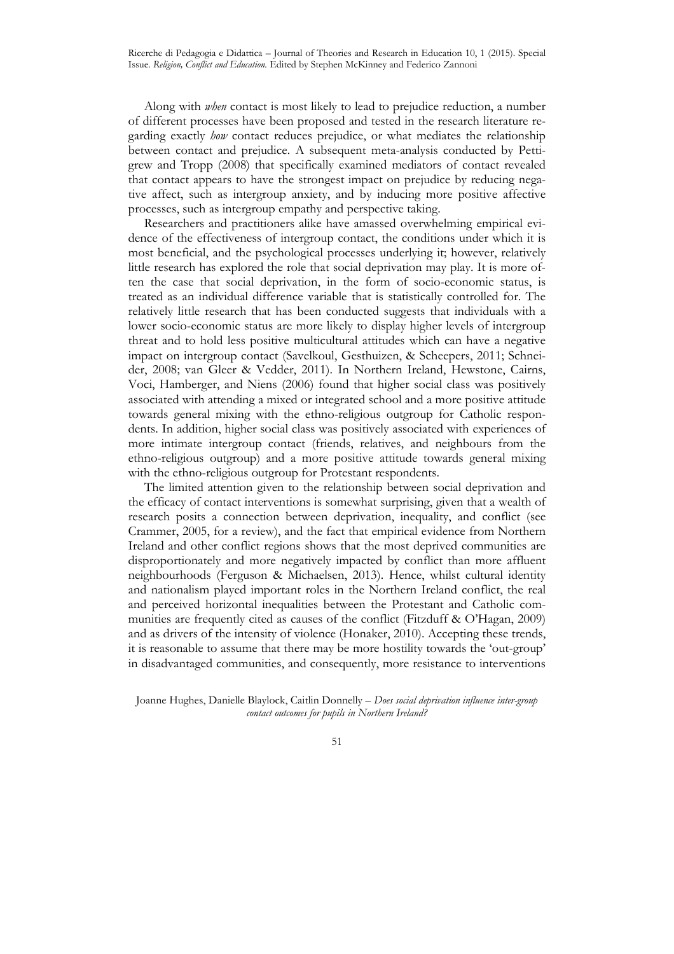Along with *when* contact is most likely to lead to prejudice reduction, a number of different processes have been proposed and tested in the research literature regarding exactly *how* contact reduces prejudice, or what mediates the relationship between contact and prejudice. A subsequent meta-analysis conducted by Pettigrew and Tropp (2008) that specifically examined mediators of contact revealed that contact appears to have the strongest impact on prejudice by reducing negative affect, such as intergroup anxiety, and by inducing more positive affective processes, such as intergroup empathy and perspective taking.

Researchers and practitioners alike have amassed overwhelming empirical evidence of the effectiveness of intergroup contact, the conditions under which it is most beneficial, and the psychological processes underlying it; however, relatively little research has explored the role that social deprivation may play. It is more often the case that social deprivation, in the form of socio-economic status, is treated as an individual difference variable that is statistically controlled for. The relatively little research that has been conducted suggests that individuals with a lower socio-economic status are more likely to display higher levels of intergroup threat and to hold less positive multicultural attitudes which can have a negative impact on intergroup contact (Savelkoul, Gesthuizen, & Scheepers, 2011; Schneider, 2008; van Gleer & Vedder, 2011). In Northern Ireland, Hewstone, Cairns, Voci, Hamberger, and Niens (2006) found that higher social class was positively associated with attending a mixed or integrated school and a more positive attitude towards general mixing with the ethno-religious outgroup for Catholic respondents. In addition, higher social class was positively associated with experiences of more intimate intergroup contact (friends, relatives, and neighbours from the ethno-religious outgroup) and a more positive attitude towards general mixing with the ethno-religious outgroup for Protestant respondents.

The limited attention given to the relationship between social deprivation and the efficacy of contact interventions is somewhat surprising, given that a wealth of research posits a connection between deprivation, inequality, and conflict (see Crammer, 2005, for a review), and the fact that empirical evidence from Northern Ireland and other conflict regions shows that the most deprived communities are disproportionately and more negatively impacted by conflict than more affluent neighbourhoods (Ferguson & Michaelsen, 2013). Hence, whilst cultural identity and nationalism played important roles in the Northern Ireland conflict, the real and perceived horizontal inequalities between the Protestant and Catholic communities are frequently cited as causes of the conflict (Fitzduff & O'Hagan, 2009) and as drivers of the intensity of violence (Honaker, 2010). Accepting these trends, it is reasonable to assume that there may be more hostility towards the 'out-group' in disadvantaged communities, and consequently, more resistance to interventions

Joanne Hughes, Danielle Blaylock, Caitlin Donnelly – *Does social deprivation influence inter-group contact outcomes for pupils in Northern Ireland?*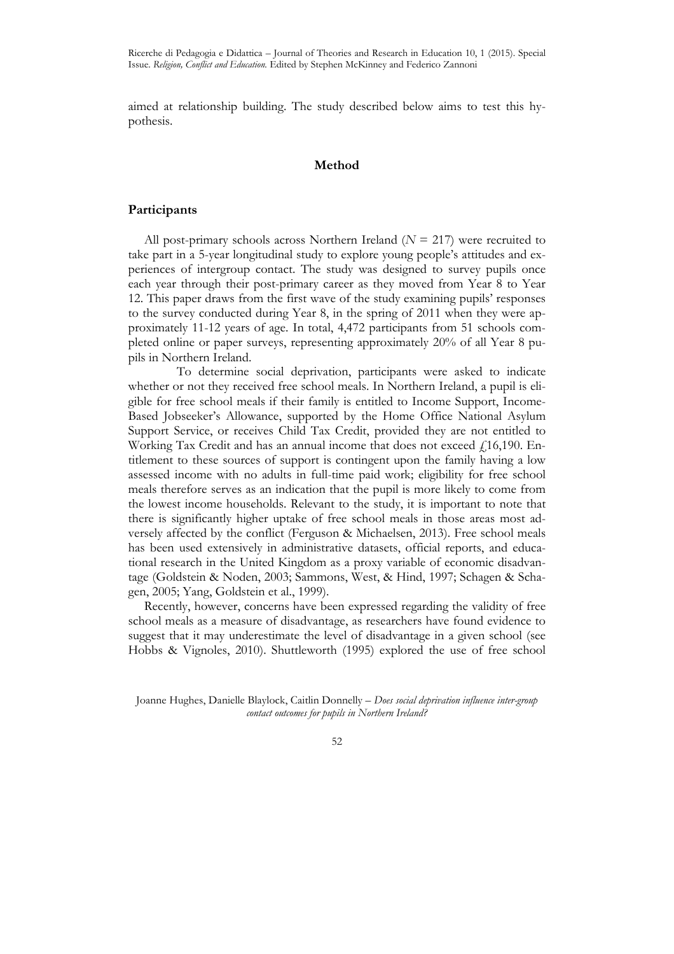Ricerche di Pedagogia e Didattica – Journal of Theories and Research in Education 10, 1 (2015). Special Issue. *Religion, Conflict and Education.* Edited by Stephen McKinney and Federico Zannoni

aimed at relationship building. The study described below aims to test this hypothesis.

#### **Method**

## **Participants**

All post-primary schools across Northern Ireland (*N* = 217) were recruited to take part in a 5-year longitudinal study to explore young people's attitudes and experiences of intergroup contact. The study was designed to survey pupils once each year through their post-primary career as they moved from Year 8 to Year 12. This paper draws from the first wave of the study examining pupils' responses to the survey conducted during Year 8, in the spring of 2011 when they were approximately 11-12 years of age. In total, 4,472 participants from 51 schools completed online or paper surveys, representing approximately 20% of all Year 8 pupils in Northern Ireland.

 To determine social deprivation, participants were asked to indicate whether or not they received free school meals. In Northern Ireland, a pupil is eligible for free school meals if their family is entitled to Income Support, Income-Based Jobseeker's Allowance, supported by the Home Office National Asylum Support Service, or receives Child Tax Credit, provided they are not entitled to Working Tax Credit and has an annual income that does not exceed  $f$  16,190. Entitlement to these sources of support is contingent upon the family having a low assessed income with no adults in full-time paid work; eligibility for free school meals therefore serves as an indication that the pupil is more likely to come from the lowest income households. Relevant to the study, it is important to note that there is significantly higher uptake of free school meals in those areas most adversely affected by the conflict (Ferguson & Michaelsen, 2013). Free school meals has been used extensively in administrative datasets, official reports, and educational research in the United Kingdom as a proxy variable of economic disadvantage (Goldstein & Noden, 2003; Sammons, West, & Hind, 1997; Schagen & Schagen, 2005; Yang, Goldstein et al., 1999).

Recently, however, concerns have been expressed regarding the validity of free school meals as a measure of disadvantage, as researchers have found evidence to suggest that it may underestimate the level of disadvantage in a given school (see Hobbs & Vignoles, 2010). Shuttleworth (1995) explored the use of free school

Joanne Hughes, Danielle Blaylock, Caitlin Donnelly – *Does social deprivation influence inter-group contact outcomes for pupils in Northern Ireland?*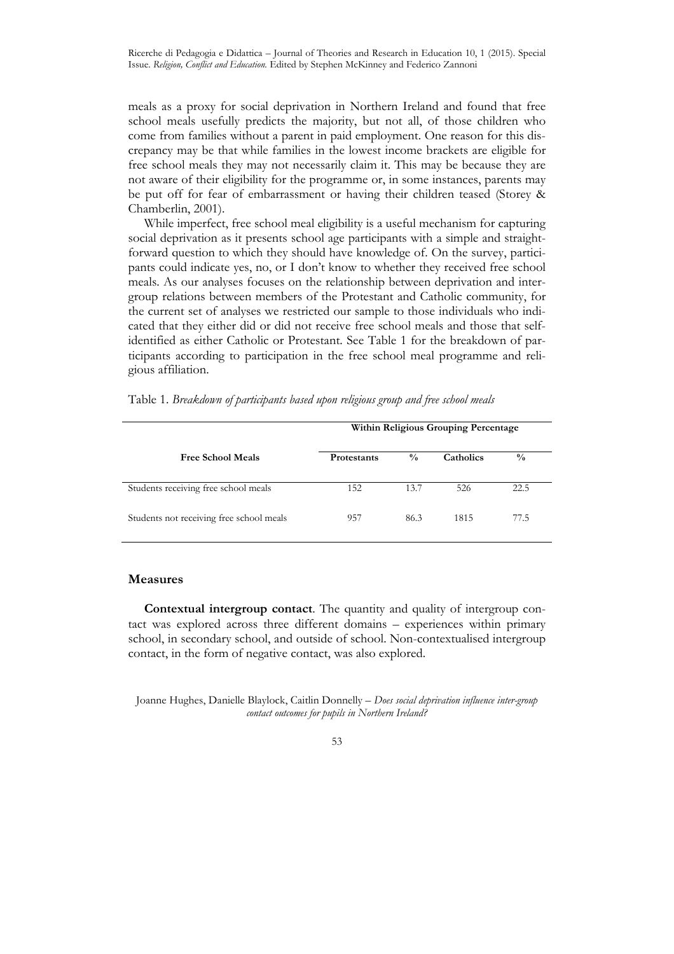meals as a proxy for social deprivation in Northern Ireland and found that free school meals usefully predicts the majority, but not all, of those children who come from families without a parent in paid employment. One reason for this discrepancy may be that while families in the lowest income brackets are eligible for free school meals they may not necessarily claim it. This may be because they are not aware of their eligibility for the programme or, in some instances, parents may be put off for fear of embarrassment or having their children teased (Storey & Chamberlin, 2001).

While imperfect, free school meal eligibility is a useful mechanism for capturing social deprivation as it presents school age participants with a simple and straightforward question to which they should have knowledge of. On the survey, participants could indicate yes, no, or I don't know to whether they received free school meals. As our analyses focuses on the relationship between deprivation and intergroup relations between members of the Protestant and Catholic community, for the current set of analyses we restricted our sample to those individuals who indicated that they either did or did not receive free school meals and those that selfidentified as either Catholic or Protestant. See Table 1 for the breakdown of participants according to participation in the free school meal programme and religious affiliation.

|  |  |  |  | Table 1. Breakdown of participants based upon religious group and free school meals |  |  |  |  |  |  |  |  |  |
|--|--|--|--|-------------------------------------------------------------------------------------|--|--|--|--|--|--|--|--|--|
|--|--|--|--|-------------------------------------------------------------------------------------|--|--|--|--|--|--|--|--|--|

|                                          | Within Religious Grouping Percentage |               |           |               |  |
|------------------------------------------|--------------------------------------|---------------|-----------|---------------|--|
| <b>Free School Meals</b>                 | <b>Protestants</b>                   | $\frac{0}{0}$ | Catholics | $\frac{0}{0}$ |  |
| Students receiving free school meals     | 152                                  | 13.7          | 526       | 22.5          |  |
| Students not receiving free school meals | 957                                  | 86.3          | 1815      | 77.5          |  |

## **Measures**

**Contextual intergroup contact**. The quantity and quality of intergroup contact was explored across three different domains – experiences within primary school, in secondary school, and outside of school. Non-contextualised intergroup contact, in the form of negative contact, was also explored.

Joanne Hughes, Danielle Blaylock, Caitlin Donnelly – *Does social deprivation influence inter-group contact outcomes for pupils in Northern Ireland?*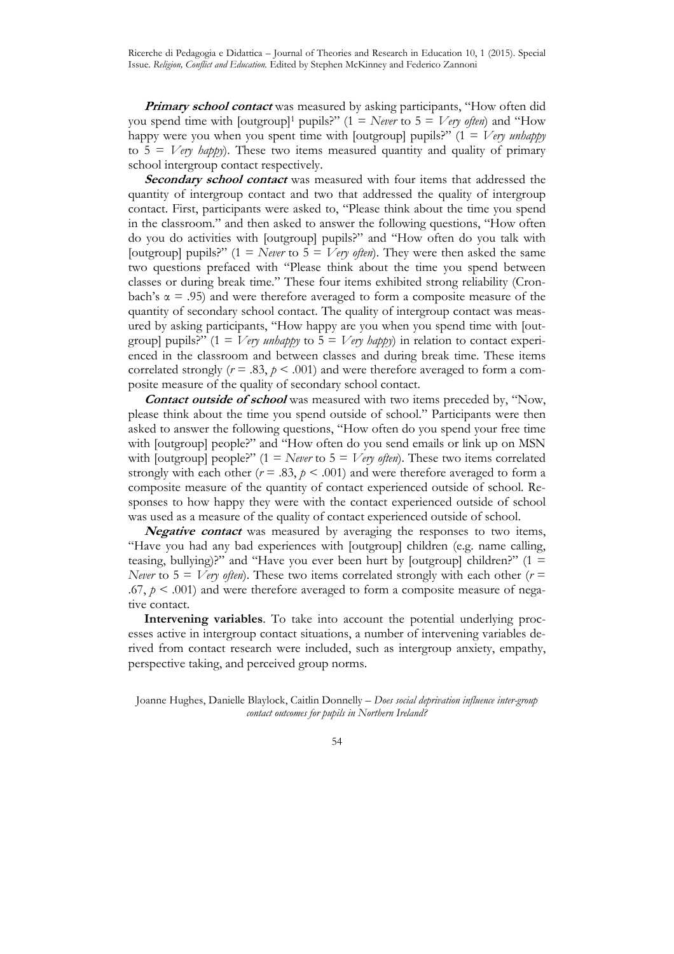**Primary school contact** was measured by asking participants, "How often did you spend time with  $\lceil \text{outgroup} \rceil$  pupils?" (1 = *Never* to 5 = *Very often*) and "How happy were you when you spent time with [outgroup] pupils?" (1 = *Very unhappy* to  $5 = V$ ery *happy*). These two items measured quantity and quality of primary school intergroup contact respectively.

Secondary school contact was measured with four items that addressed the quantity of intergroup contact and two that addressed the quality of intergroup contact. First, participants were asked to, "Please think about the time you spend in the classroom." and then asked to answer the following questions, "How often do you do activities with [outgroup] pupils?" and "How often do you talk with [outgroup] pupils?"  $(1 = \text{Never to } 5 = \text{Very often})$ . They were then asked the same two questions prefaced with "Please think about the time you spend between classes or during break time." These four items exhibited strong reliability (Cronbach's  $\alpha$  = .95) and were therefore averaged to form a composite measure of the quantity of secondary school contact. The quality of intergroup contact was measured by asking participants, "How happy are you when you spend time with [outgroup] pupils?" ( $1 = V$ ery *unhappy* to  $5 = V$ ery *happy*) in relation to contact experienced in the classroom and between classes and during break time. These items correlated strongly ( $r = .83$ ,  $p < .001$ ) and were therefore averaged to form a composite measure of the quality of secondary school contact.

**Contact outside of school** was measured with two items preceded by, "Now, please think about the time you spend outside of school." Participants were then asked to answer the following questions, "How often do you spend your free time with [outgroup] people?" and "How often do you send emails or link up on MSN with [outgroup] people?" (1 = *Never* to 5 = *Very often*). These two items correlated strongly with each other  $(r = .83, p < .001)$  and were therefore averaged to form a composite measure of the quantity of contact experienced outside of school. Responses to how happy they were with the contact experienced outside of school was used as a measure of the quality of contact experienced outside of school.

**Negative contact** was measured by averaging the responses to two items, "Have you had any bad experiences with [outgroup] children (e.g. name calling, teasing, bullying)?" and "Have you ever been hurt by [outgroup] children?"  $(1 =$ *Never* to  $5 = V$ *ery often*). These two items correlated strongly with each other ( $r =$ .67,  $p \le 0.001$ ) and were therefore averaged to form a composite measure of negative contact.

**Intervening variables**. To take into account the potential underlying processes active in intergroup contact situations, a number of intervening variables derived from contact research were included, such as intergroup anxiety, empathy, perspective taking, and perceived group norms.

Joanne Hughes, Danielle Blaylock, Caitlin Donnelly – *Does social deprivation influence inter-group contact outcomes for pupils in Northern Ireland?*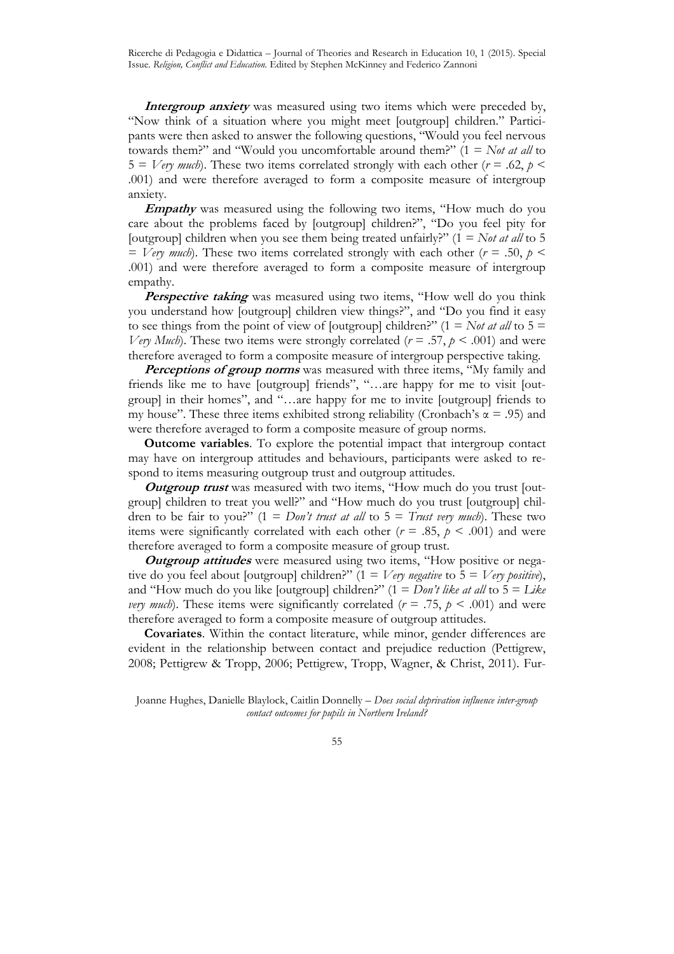**Intergroup anxiety** was measured using two items which were preceded by, "Now think of a situation where you might meet [outgroup] children." Participants were then asked to answer the following questions, "Would you feel nervous towards them?" and "Would you uncomfortable around them?" (1 = *Not at all* to  $5 = V$ ery much). These two items correlated strongly with each other ( $r = .62$ ,  $p <$ .001) and were therefore averaged to form a composite measure of intergroup anxiety.

**Empathy** was measured using the following two items, "How much do you care about the problems faced by [outgroup] children?", "Do you feel pity for [outgroup] children when you see them being treated unfairly?"  $(1 = Not at all to 5$  $=$  *Very much*). These two items correlated strongly with each other ( $r = .50$ ,  $p <$ .001) and were therefore averaged to form a composite measure of intergroup empathy.

Perspective taking was measured using two items, "How well do you think you understand how [outgroup] children view things?", and "Do you find it easy to see things from the point of view of [outgroup] children?"  $(1 = Not at all to 5 =$ *Very Much*). These two items were strongly correlated ( $r = .57$ ,  $p < .001$ ) and were therefore averaged to form a composite measure of intergroup perspective taking.

**Perceptions of group norms** was measured with three items, "My family and friends like me to have [outgroup] friends", "…are happy for me to visit [outgroup] in their homes", and "…are happy for me to invite [outgroup] friends to my house". These three items exhibited strong reliability (Cronbach's  $\alpha$  = .95) and were therefore averaged to form a composite measure of group norms.

**Outcome variables**. To explore the potential impact that intergroup contact may have on intergroup attitudes and behaviours, participants were asked to respond to items measuring outgroup trust and outgroup attitudes.

**Outgroup trust** was measured with two items, "How much do you trust [outgroup] children to treat you well?" and "How much do you trust [outgroup] children to be fair to you?"  $(1 = Don't trust at all to 5 = Trust very much)$ . These two items were significantly correlated with each other ( $r = .85$ ,  $p < .001$ ) and were therefore averaged to form a composite measure of group trust.

**Outgroup attitudes** were measured using two items, "How positive or negative do you feel about [outgroup] children?" (1 = *Very negative* to 5 = *Very positive*), and "How much do you like [outgroup] children?" (1 = *Don't like at all* to 5 = *Like very much*). These items were significantly correlated ( $r = .75$ ,  $p < .001$ ) and were therefore averaged to form a composite measure of outgroup attitudes.

**Covariates**. Within the contact literature, while minor, gender differences are evident in the relationship between contact and prejudice reduction (Pettigrew, 2008; Pettigrew & Tropp, 2006; Pettigrew, Tropp, Wagner, & Christ, 2011). Fur-

Joanne Hughes, Danielle Blaylock, Caitlin Donnelly – *Does social deprivation influence inter-group contact outcomes for pupils in Northern Ireland?*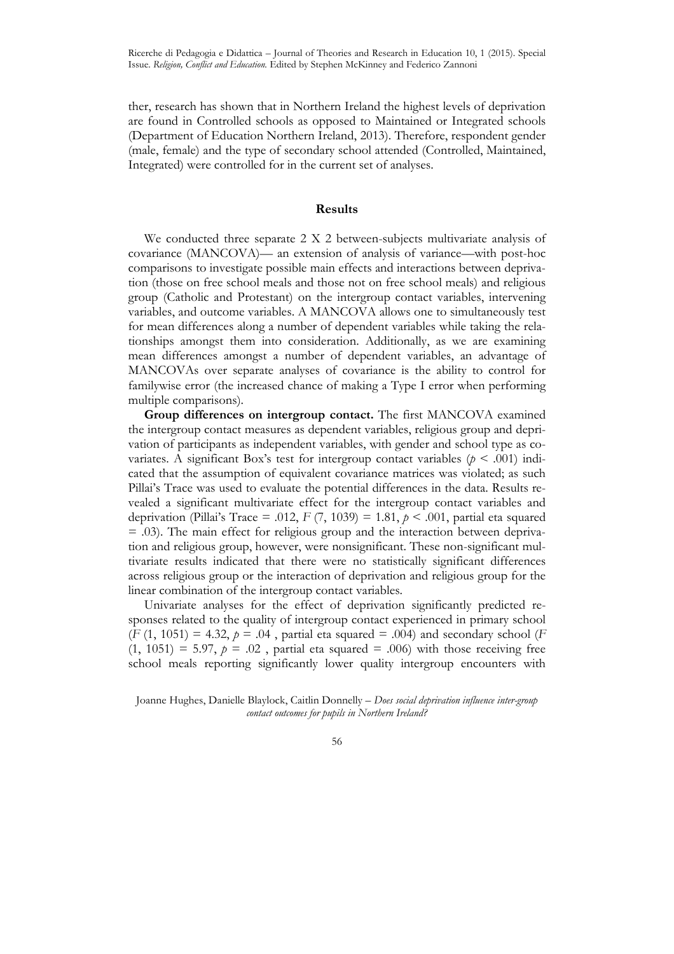ther, research has shown that in Northern Ireland the highest levels of deprivation are found in Controlled schools as opposed to Maintained or Integrated schools (Department of Education Northern Ireland, 2013). Therefore, respondent gender (male, female) and the type of secondary school attended (Controlled, Maintained, Integrated) were controlled for in the current set of analyses.

## **Results**

We conducted three separate 2 X 2 between-subjects multivariate analysis of covariance (MANCOVA)— an extension of analysis of variance—with post-hoc comparisons to investigate possible main effects and interactions between deprivation (those on free school meals and those not on free school meals) and religious group (Catholic and Protestant) on the intergroup contact variables, intervening variables, and outcome variables. A MANCOVA allows one to simultaneously test for mean differences along a number of dependent variables while taking the relationships amongst them into consideration. Additionally, as we are examining mean differences amongst a number of dependent variables, an advantage of MANCOVAs over separate analyses of covariance is the ability to control for familywise error (the increased chance of making a Type I error when performing multiple comparisons).

**Group differences on intergroup contact.** The first MANCOVA examined the intergroup contact measures as dependent variables, religious group and deprivation of participants as independent variables, with gender and school type as covariates. A significant Box's test for intergroup contact variables  $(p < .001)$  indicated that the assumption of equivalent covariance matrices was violated; as such Pillai's Trace was used to evaluate the potential differences in the data. Results revealed a significant multivariate effect for the intergroup contact variables and deprivation (Pillai's Trace = .012,  $F(7, 1039) = 1.81$ ,  $p < .001$ , partial eta squared = .03). The main effect for religious group and the interaction between deprivation and religious group, however, were nonsignificant. These non-significant multivariate results indicated that there were no statistically significant differences across religious group or the interaction of deprivation and religious group for the linear combination of the intergroup contact variables.

Univariate analyses for the effect of deprivation significantly predicted responses related to the quality of intergroup contact experienced in primary school  $(F (1, 1051) = 4.32, p = .04$ , partial eta squared = .004) and secondary school (*F*  $(1, 1051) = 5.97$ ,  $p = .02$ , partial eta squared = .006) with those receiving free school meals reporting significantly lower quality intergroup encounters with

Joanne Hughes, Danielle Blaylock, Caitlin Donnelly – *Does social deprivation influence inter-group contact outcomes for pupils in Northern Ireland?*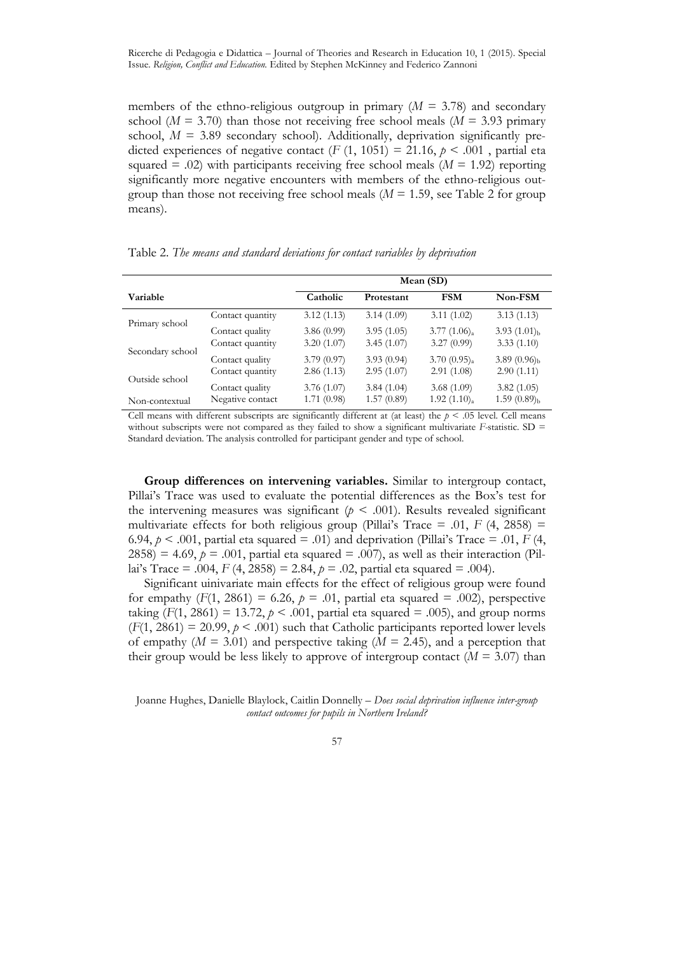members of the ethno-religious outgroup in primary  $(M = 3.78)$  and secondary school ( $M = 3.70$ ) than those not receiving free school meals ( $M = 3.93$  primary school,  $M = 3.89$  secondary school). Additionally, deprivation significantly predicted experiences of negative contact  $(F (1, 1051) = 21.16, p \le .001$ , partial eta squared  $=$  .02) with participants receiving free school meals ( $M = 1.92$ ) reporting significantly more negative encounters with members of the ethno-religious outgroup than those not receiving free school meals  $(M = 1.59)$ , see Table 2 for group means).

|  |  |  | Table 2. The means and standard deviations for contact variables by deprivation |
|--|--|--|---------------------------------------------------------------------------------|
|  |  |  |                                                                                 |

|                  |                  | Mean (SD)  |            |                         |                       |  |
|------------------|------------------|------------|------------|-------------------------|-----------------------|--|
| <b>Variable</b>  |                  | Catholic   | Protestant | <b>FSM</b>              | Non-FSM               |  |
| Primary school   | Contact quantity | 3.12(1.13) | 3.14(1.09) | 3.11(1.02)              | 3.13(1.13)            |  |
|                  | Contact quality  | 3.86(0.99) | 3.95(1.05) | $3.77(1.06)_{a}$        | 3.93 $(1.01)_{h}$     |  |
| Secondary school | Contact quantity | 3.20(1.07) | 3.45(1.07) | 3.27(0.99)              | 3.33(1.10)            |  |
|                  | Contact quality  | 3.79(0.97) | 3.93(0.94) | 3.70(0.95) <sub>a</sub> | 3.89 $(0.96)_{\rm b}$ |  |
| Outside school   | Contact quantity | 2.86(1.13) | 2.95(1.07) | 2.91(1.08)              | 2.90(1.11)            |  |
|                  | Contact quality  | 3.76(1.07) | 3.84(1.04) | 3.68(1.09)              | 3.82(1.05)            |  |
| Non-contextual   | Negative contact | 1.71(0.98) | 1.57(0.89) | 1.92(1.10) <sub>a</sub> | $1.59(0.89)_{b}$      |  |

Cell means with different subscripts are significantly different at (at least) the  $p < .05$  level. Cell means without subscripts were not compared as they failed to show a significant multivariate *F*-statistic. SD = Standard deviation. The analysis controlled for participant gender and type of school.

**Group differences on intervening variables.** Similar to intergroup contact, Pillai's Trace was used to evaluate the potential differences as the Box's test for the intervening measures was significant  $(p < .001)$ . Results revealed significant multivariate effects for both religious group (Pillai's Trace = .01,  $F$  (4, 2858) = 6.94,  $p \le 0.001$ , partial eta squared = .01) and deprivation (Pillai's Trace = .01, *F* (4, 2858) = 4.69,  $p = .001$ , partial eta squared = .007), as well as their interaction (Pillai's Trace = .004,  $F(4, 2858) = 2.84$ ,  $p = .02$ , partial eta squared = .004).

Significant uinivariate main effects for the effect of religious group were found for empathy  $(F(1, 2861) = 6.26, p = .01,$  partial eta squared = .002), perspective taking  $(F(1, 2861) = 13.72, p \le 0.001$ , partial eta squared = 0.05), and group norms  $(F(1, 2861) = 20.99, p \le 0.001)$  such that Catholic participants reported lower levels of empathy ( $M = 3.01$ ) and perspective taking ( $M = 2.45$ ), and a perception that their group would be less likely to approve of intergroup contact  $(M = 3.07)$  than

Joanne Hughes, Danielle Blaylock, Caitlin Donnelly – *Does social deprivation influence inter-group contact outcomes for pupils in Northern Ireland?*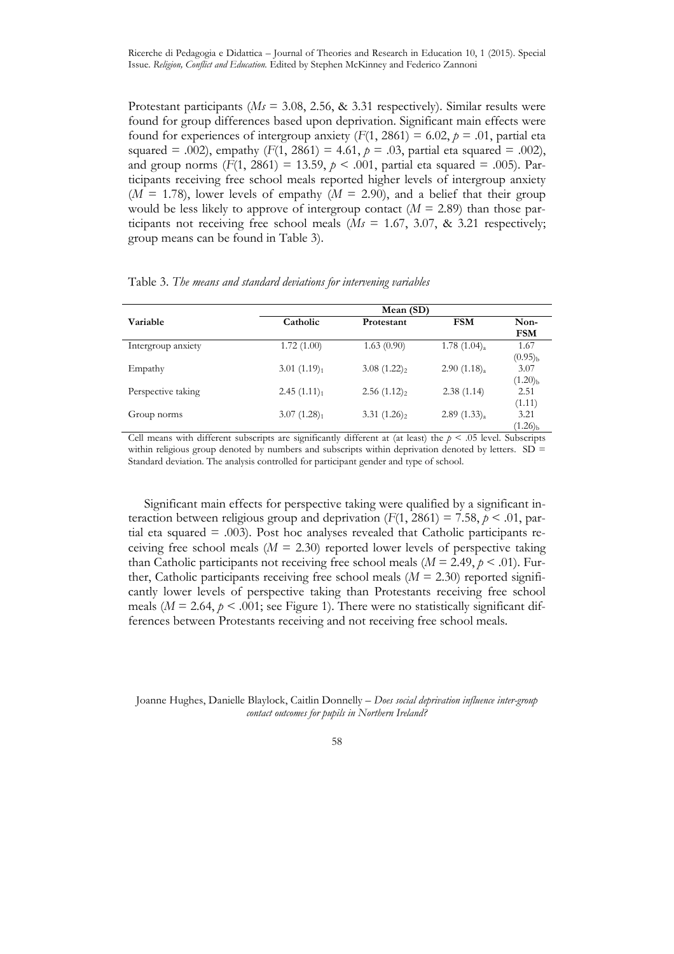Protestant participants (*Ms* = 3.08, 2.56, & 3.31 respectively). Similar results were found for group differences based upon deprivation. Significant main effects were found for experiences of intergroup anxiety  $(F(1, 2861) = 6.02, p = .01,$  partial eta squared = .002), empathy  $(F(1, 2861) = 4.61, p = .03$ , partial eta squared = .002), and group norms (*F*(1, 2861) = 13.59, *p* < .001, partial eta squared = .005). Participants receiving free school meals reported higher levels of intergroup anxiety  $(M = 1.78)$ , lower levels of empathy  $(M = 2.90)$ , and a belief that their group would be less likely to approve of intergroup contact  $(M = 2.89)$  than those participants not receiving free school meals  $(Ms = 1.67, 3.07, \& 3.21$  respectively; group means can be found in Table 3).

|                    | Mean (SD)               |                         |                      |                          |  |  |  |
|--------------------|-------------------------|-------------------------|----------------------|--------------------------|--|--|--|
| Variable           | Catholic                | Protestant              | <b>FSM</b>           | Non-<br><b>FSM</b>       |  |  |  |
| Intergroup anxiety | 1.72(1.00)              | 1.63(0.90)              | 1.78 $(1.04)_{a}$    | 1.67<br>$(0.95)_{b}$     |  |  |  |
| Empathy            | 3.01(1.19) <sub>1</sub> | $3.08(1.22)_2$          | $2.90(1.18)_{\rm a}$ | 3.07<br>$(1.20)_{b}$     |  |  |  |
| Perspective taking | 2.45(1.11) <sub>1</sub> | 2.56(1.12) <sub>2</sub> | 2.38(1.14)           | 2.51<br>(1.11)           |  |  |  |
| Group norms        | 3.07(1.28) <sub>1</sub> | 3.31(1.26) <sub>2</sub> | (1.33) <sub>a</sub>  | 3.21<br>$(1.26)_{\rm b}$ |  |  |  |

Table 3. *The means and standard deviations for intervening variables* 

Cell means with different subscripts are significantly different at (at least) the  $p < .05$  level. Subscripts within religious group denoted by numbers and subscripts within deprivation denoted by letters.  $SD =$ Standard deviation. The analysis controlled for participant gender and type of school.

Significant main effects for perspective taking were qualified by a significant interaction between religious group and deprivation  $(F(1, 2861) = 7.58, p \le .01,$  partial eta squared  $=$  .003). Post hoc analyses revealed that Catholic participants receiving free school meals  $(M = 2.30)$  reported lower levels of perspective taking than Catholic participants not receiving free school meals ( $M = 2.49$ ,  $p < .01$ ). Further, Catholic participants receiving free school meals  $(M = 2.30)$  reported significantly lower levels of perspective taking than Protestants receiving free school meals ( $M = 2.64$ ,  $p < .001$ ; see Figure 1). There were no statistically significant differences between Protestants receiving and not receiving free school meals.

Joanne Hughes, Danielle Blaylock, Caitlin Donnelly – *Does social deprivation influence inter-group contact outcomes for pupils in Northern Ireland?*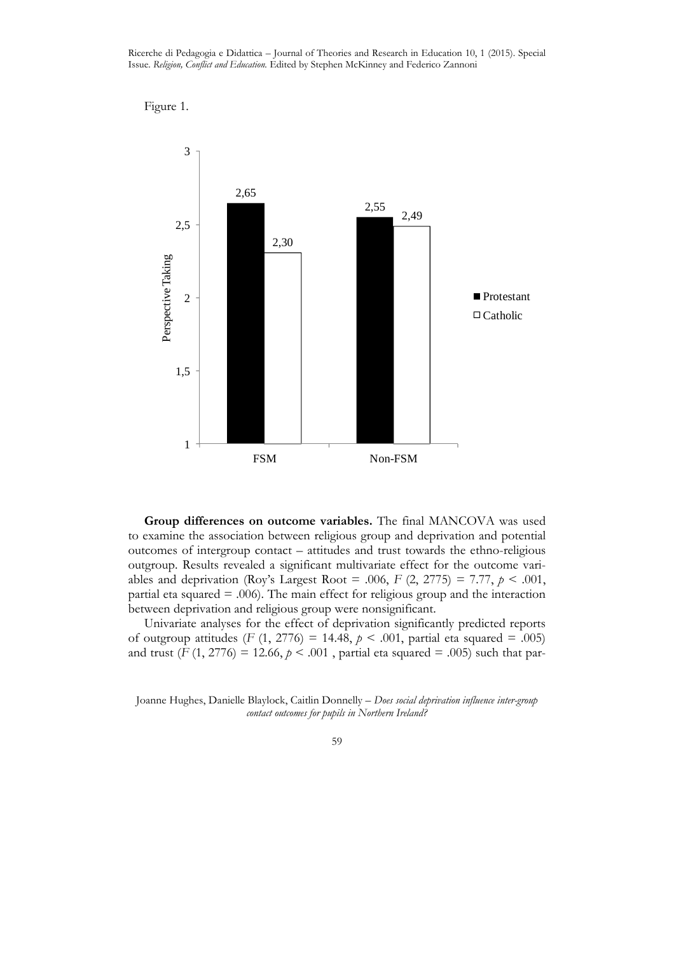Ricerche di Pedagogia e Didattica – Journal of Theories and Research in Education 10, 1 (2015). Special Issue. *Religion, Conflict and Education.* Edited by Stephen McKinney and Federico Zannoni





**Group differences on outcome variables.** The final MANCOVA was used to examine the association between religious group and deprivation and potential outcomes of intergroup contact – attitudes and trust towards the ethno-religious outgroup. Results revealed a significant multivariate effect for the outcome variables and deprivation (Roy's Largest Root = .006,  $F(2, 2775) = 7.77$ ,  $p < .001$ , partial eta squared = .006). The main effect for religious group and the interaction between deprivation and religious group were nonsignificant.

Univariate analyses for the effect of deprivation significantly predicted reports of outgroup attitudes (*F* (1, 2776) = 14.48, *p* < .001, partial eta squared = .005) and trust ( $F(1, 2776) = 12.66$ ,  $p < .001$ , partial eta squared = .005) such that par-

Joanne Hughes, Danielle Blaylock, Caitlin Donnelly – *Does social deprivation influence inter-group contact outcomes for pupils in Northern Ireland?*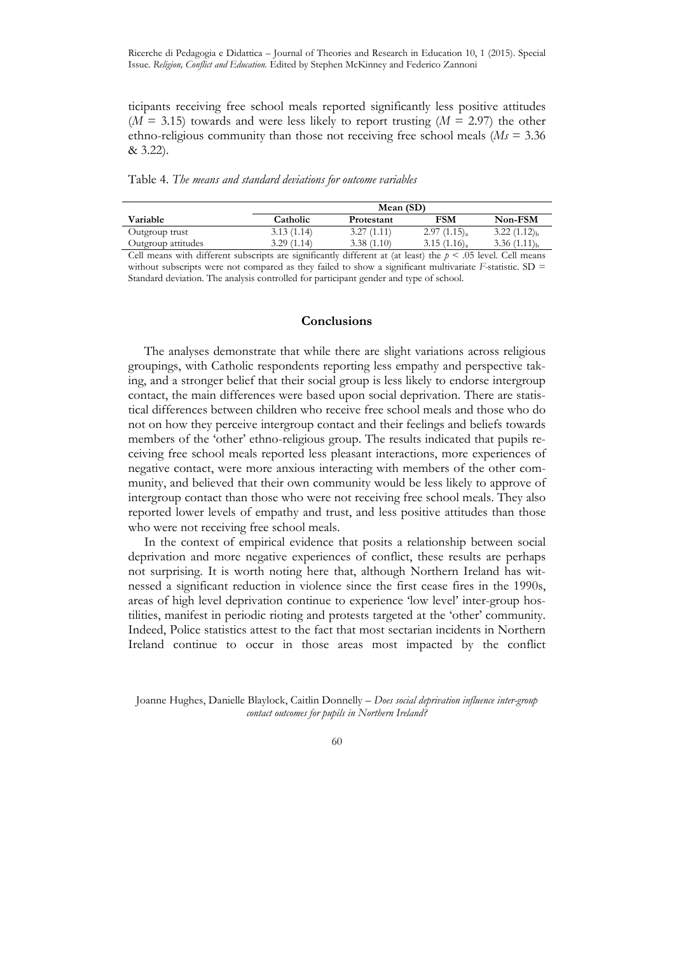ticipants receiving free school meals reported significantly less positive attitudes  $(M = 3.15)$  towards and were less likely to report trusting  $(M = 2.97)$  the other ethno-religious community than those not receiving free school meals (*Ms* = 3.36 & 3.22).

Table 4. *The means and standard deviations for outcome variables*

|                    | Mean (SD)  |            |                  |                  |  |  |  |
|--------------------|------------|------------|------------------|------------------|--|--|--|
| Variable           | Catholic   | Protestant | FSM              | Non-FSM          |  |  |  |
| Outgroup trust     | 3.13(1.14) | 3.27(1.11) | $2.97(1.15)_{a}$ | $3.22(1.12)_{h}$ |  |  |  |
| Outgroup attitudes | 3.29(1.14) | 3.38(1.10) | $3.15(1.16)_{a}$ | $3.36(1.11)_{h}$ |  |  |  |
|                    |            |            |                  |                  |  |  |  |

Cell means with different subscripts are significantly different at (at least) the  $p < .05$  level. Cell means without subscripts were not compared as they failed to show a significant multivariate *F*-statistic. SD = Standard deviation. The analysis controlled for participant gender and type of school.

## **Conclusions**

The analyses demonstrate that while there are slight variations across religious groupings, with Catholic respondents reporting less empathy and perspective taking, and a stronger belief that their social group is less likely to endorse intergroup contact, the main differences were based upon social deprivation. There are statistical differences between children who receive free school meals and those who do not on how they perceive intergroup contact and their feelings and beliefs towards members of the 'other' ethno-religious group. The results indicated that pupils receiving free school meals reported less pleasant interactions, more experiences of negative contact, were more anxious interacting with members of the other community, and believed that their own community would be less likely to approve of intergroup contact than those who were not receiving free school meals. They also reported lower levels of empathy and trust, and less positive attitudes than those who were not receiving free school meals.

In the context of empirical evidence that posits a relationship between social deprivation and more negative experiences of conflict, these results are perhaps not surprising. It is worth noting here that, although Northern Ireland has witnessed a significant reduction in violence since the first cease fires in the 1990s, areas of high level deprivation continue to experience 'low level' inter-group hostilities, manifest in periodic rioting and protests targeted at the 'other' community. Indeed, Police statistics attest to the fact that most sectarian incidents in Northern Ireland continue to occur in those areas most impacted by the conflict

Joanne Hughes, Danielle Blaylock, Caitlin Donnelly – *Does social deprivation influence inter-group contact outcomes for pupils in Northern Ireland?*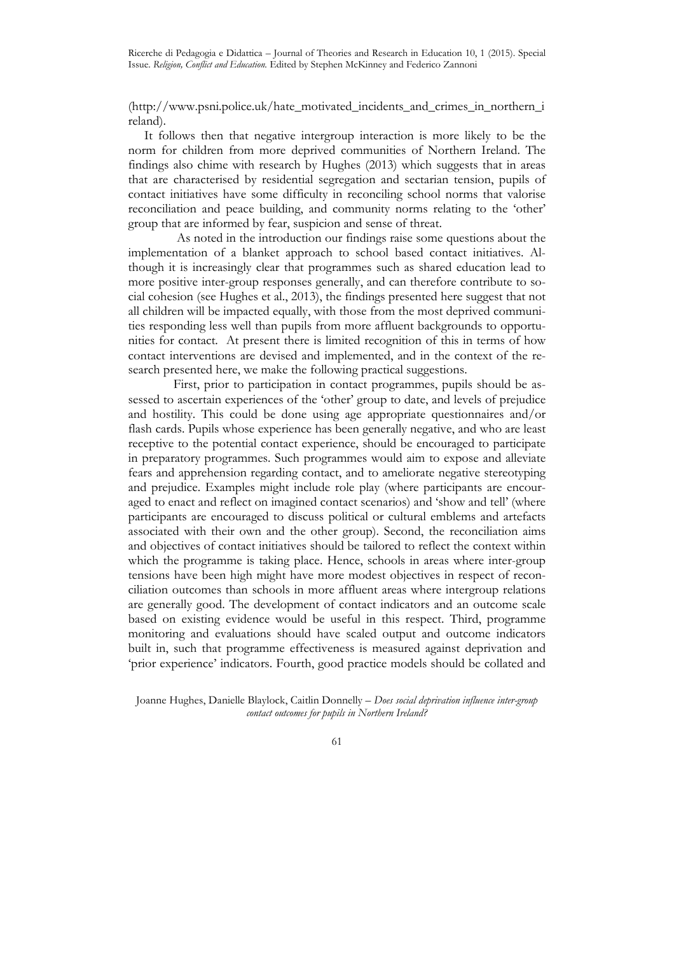Ricerche di Pedagogia e Didattica – Journal of Theories and Research in Education 10, 1 (2015). Special Issue. *Religion, Conflict and Education.* Edited by Stephen McKinney and Federico Zannoni

(http://www.psni.police.uk/hate\_motivated\_incidents\_and\_crimes\_in\_northern\_i reland).

It follows then that negative intergroup interaction is more likely to be the norm for children from more deprived communities of Northern Ireland. The findings also chime with research by Hughes (2013) which suggests that in areas that are characterised by residential segregation and sectarian tension, pupils of contact initiatives have some difficulty in reconciling school norms that valorise reconciliation and peace building, and community norms relating to the 'other' group that are informed by fear, suspicion and sense of threat.

 As noted in the introduction our findings raise some questions about the implementation of a blanket approach to school based contact initiatives. Although it is increasingly clear that programmes such as shared education lead to more positive inter-group responses generally, and can therefore contribute to social cohesion (see Hughes et al., 2013), the findings presented here suggest that not all children will be impacted equally, with those from the most deprived communities responding less well than pupils from more affluent backgrounds to opportunities for contact. At present there is limited recognition of this in terms of how contact interventions are devised and implemented, and in the context of the research presented here, we make the following practical suggestions.

 First, prior to participation in contact programmes, pupils should be assessed to ascertain experiences of the 'other' group to date, and levels of prejudice and hostility. This could be done using age appropriate questionnaires and/or flash cards. Pupils whose experience has been generally negative, and who are least receptive to the potential contact experience, should be encouraged to participate in preparatory programmes. Such programmes would aim to expose and alleviate fears and apprehension regarding contact, and to ameliorate negative stereotyping and prejudice. Examples might include role play (where participants are encouraged to enact and reflect on imagined contact scenarios) and 'show and tell' (where participants are encouraged to discuss political or cultural emblems and artefacts associated with their own and the other group). Second, the reconciliation aims and objectives of contact initiatives should be tailored to reflect the context within which the programme is taking place. Hence, schools in areas where inter-group tensions have been high might have more modest objectives in respect of reconciliation outcomes than schools in more affluent areas where intergroup relations are generally good. The development of contact indicators and an outcome scale based on existing evidence would be useful in this respect. Third, programme monitoring and evaluations should have scaled output and outcome indicators built in, such that programme effectiveness is measured against deprivation and 'prior experience' indicators. Fourth, good practice models should be collated and

Joanne Hughes, Danielle Blaylock, Caitlin Donnelly – *Does social deprivation influence inter-group contact outcomes for pupils in Northern Ireland?*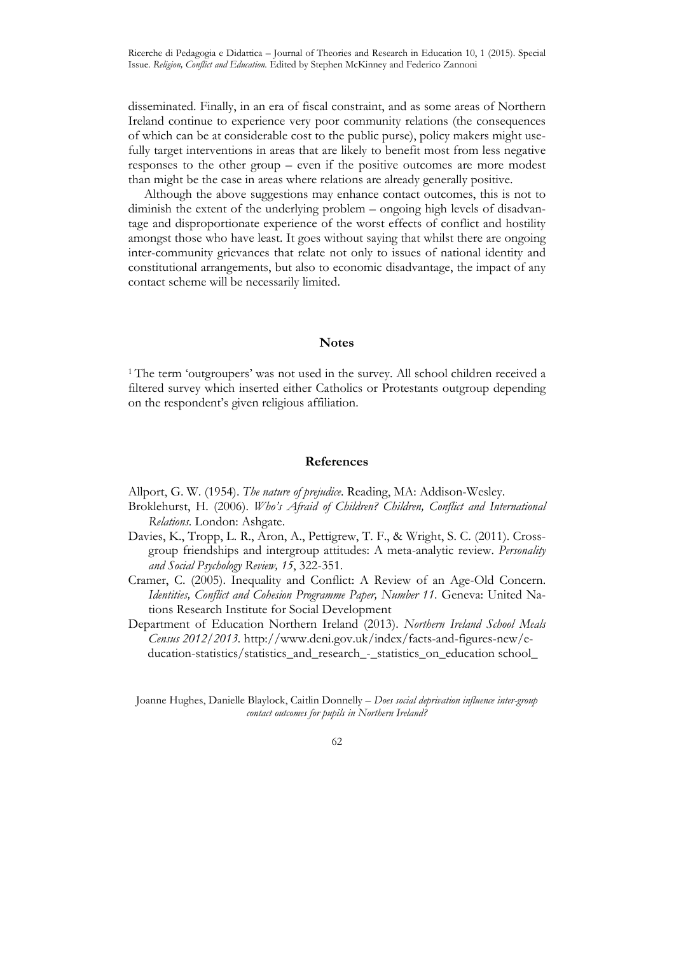disseminated. Finally, in an era of fiscal constraint, and as some areas of Northern Ireland continue to experience very poor community relations (the consequences of which can be at considerable cost to the public purse), policy makers might usefully target interventions in areas that are likely to benefit most from less negative responses to the other group – even if the positive outcomes are more modest than might be the case in areas where relations are already generally positive.

Although the above suggestions may enhance contact outcomes, this is not to diminish the extent of the underlying problem – ongoing high levels of disadvantage and disproportionate experience of the worst effects of conflict and hostility amongst those who have least. It goes without saying that whilst there are ongoing inter-community grievances that relate not only to issues of national identity and constitutional arrangements, but also to economic disadvantage, the impact of any contact scheme will be necessarily limited.

## **Notes**

<sup>1</sup>The term 'outgroupers' was not used in the survey. All school children received a filtered survey which inserted either Catholics or Protestants outgroup depending on the respondent's given religious affiliation.

## **References**

Allport, G. W. (1954). *The nature of prejudice*. Reading, MA: Addison-Wesley.

- Broklehurst, H. (2006). *Who's Afraid of Children? Children, Conflict and International Relations*. London: Ashgate.
- Davies, K., Tropp, L. R., Aron, A., Pettigrew, T. F., & Wright, S. C. (2011). Crossgroup friendships and intergroup attitudes: A meta-analytic review. *Personality and Social Psychology Review, 15*, 322-351.
- Cramer, C. (2005). Inequality and Conflict: A Review of an Age-Old Concern. *Identities, Conflict and Cohesion Programme Paper, Number 11*. Geneva: United Nations Research Institute for Social Development

Department of Education Northern Ireland (2013). *Northern Ireland School Meals Census 2012/2013.* http://www.deni.gov.uk/index/facts-and-figures-new/e ducation-statistics/statistics\_and\_research\_-\_statistics\_on\_education school\_

Joanne Hughes, Danielle Blaylock, Caitlin Donnelly – *Does social deprivation influence inter-group contact outcomes for pupils in Northern Ireland?*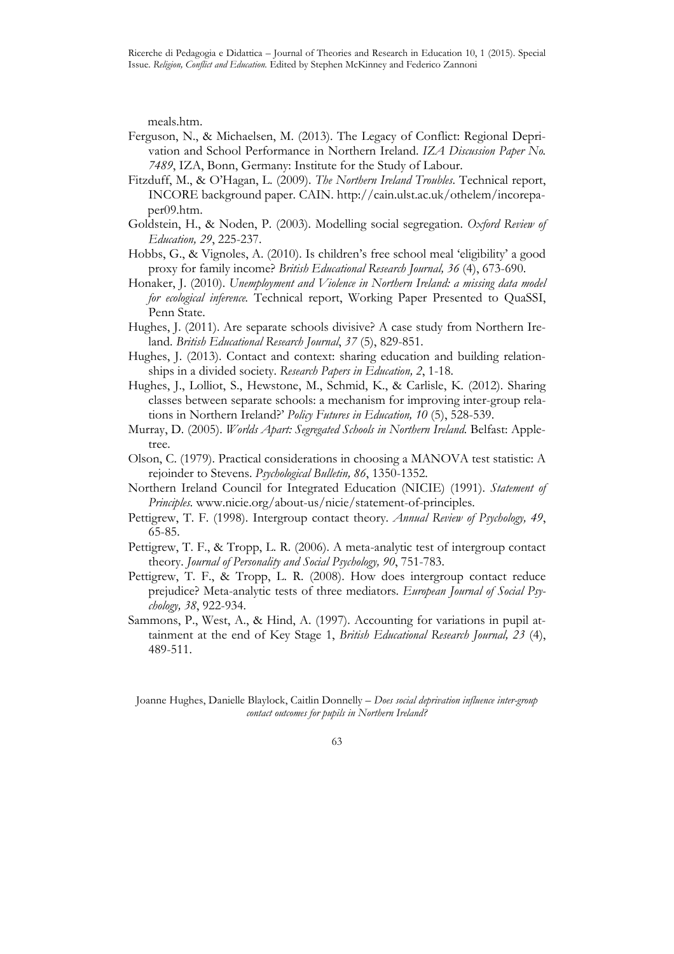meals.htm.

- Ferguson, N., & Michaelsen, M. (2013). The Legacy of Conflict: Regional Deprivation and School Performance in Northern Ireland. *IZA Discussion Paper No. 7489*, IZA, Bonn, Germany: Institute for the Study of Labour.
- Fitzduff, M., & O'Hagan, L. (2009). *The Northern Ireland Troubles*. Technical report, INCORE background paper. CAIN. http://cain.ulst.ac.uk/othelem/incorepa per09.htm.
- Goldstein, H., & Noden, P. (2003). Modelling social segregation. *Oxford Review of Education, 29*, 225-237.
- Hobbs, G., & Vignoles, A. (2010). Is children's free school meal 'eligibility' a good proxy for family income? *British Educational Research Journal, 36* (4), 673-690.
- Honaker, J. (2010). *Unemployment and Violence in Northern Ireland: a missing data model for ecological inference.* Technical report, Working Paper Presented to QuaSSI, Penn State.
- Hughes, J. (2011). Are separate schools divisive? A case study from Northern Ireland. *British Educational Research Journal*, *37* (5), 829-851.
- Hughes, J. (2013). Contact and context: sharing education and building relationships in a divided society. *Research Papers in Education, 2*, 1-18.
- Hughes, J., Lolliot, S., Hewstone, M., Schmid, K., & Carlisle, K. (2012). Sharing classes between separate schools: a mechanism for improving inter-group relations in Northern Ireland?' *Policy Futures in Education, 10* (5), 528-539.
- Murray, D. (2005). *Worlds Apart: Segregated Schools in Northern Ireland.* Belfast: Appletree.
- Olson, C. (1979). Practical considerations in choosing a MANOVA test statistic: A rejoinder to Stevens. *Psychological Bulletin, 86*, 1350-1352.
- Northern Ireland Council for Integrated Education (NICIE) (1991). *Statement of Principles.* www.nicie.org/about-us/nicie/statement-of-principles.
- Pettigrew, T. F. (1998). Intergroup contact theory. *Annual Review of Psychology, 49*, 65-85.
- Pettigrew, T. F., & Tropp, L. R. (2006). A meta-analytic test of intergroup contact theory. *Journal of Personality and Social Psychology, 90*, 751-783.
- Pettigrew, T. F., & Tropp, L. R. (2008). How does intergroup contact reduce prejudice? Meta-analytic tests of three mediators. *European Journal of Social Psychology, 38*, 922-934.
- Sammons, P., West, A., & Hind, A. (1997). Accounting for variations in pupil attainment at the end of Key Stage 1, *British Educational Research Journal, 23* (4), 489-511.

Joanne Hughes, Danielle Blaylock, Caitlin Donnelly – *Does social deprivation influence inter-group contact outcomes for pupils in Northern Ireland?*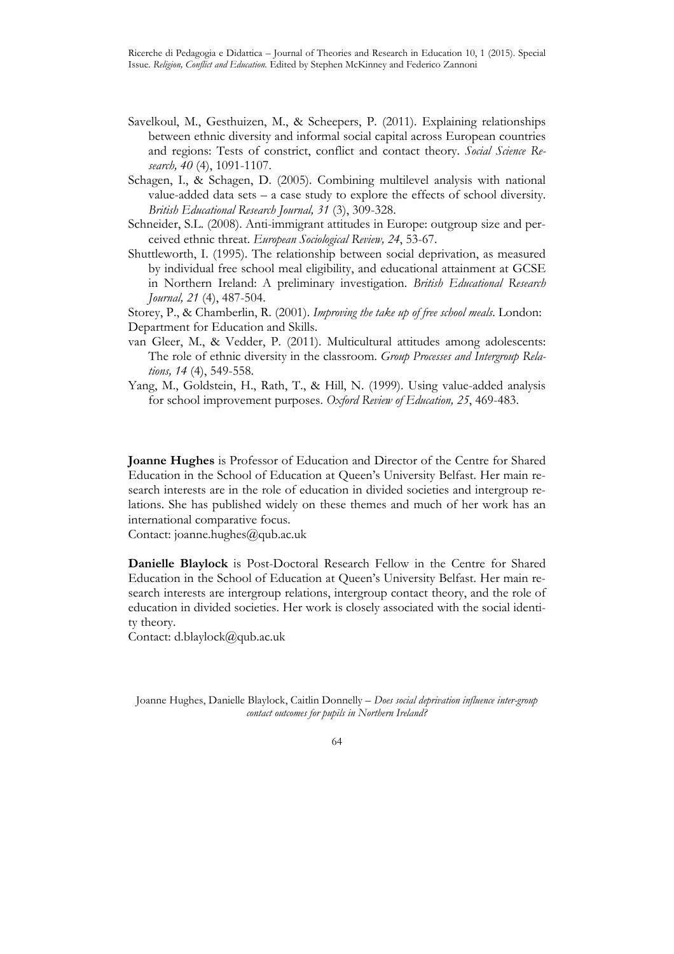- Savelkoul, M., Gesthuizen, M., & Scheepers, P. (2011). Explaining relationships between ethnic diversity and informal social capital across European countries and regions: Tests of constrict, conflict and contact theory. *Social Science Research, 40* (4), 1091-1107.
- Schagen, I., & Schagen, D. (2005). Combining multilevel analysis with national value-added data sets – a case study to explore the effects of school diversity. *British Educational Research Journal, 31* (3), 309-328.
- Schneider, S.L. (2008). Anti-immigrant attitudes in Europe: outgroup size and perceived ethnic threat. *European Sociological Review, 24*, 53-67.
- Shuttleworth, I. (1995). The relationship between social deprivation, as measured by individual free school meal eligibility, and educational attainment at GCSE in Northern Ireland: A preliminary investigation. *British Educational Research Journal, 21* (4), 487-504.

Storey, P., & Chamberlin, R. (2001). *Improving the take up of free school meals*. London: Department for Education and Skills.

- van Gleer, M., & Vedder, P. (2011). Multicultural attitudes among adolescents: The role of ethnic diversity in the classroom. *Group Processes and Intergroup Relations, 14* (4), 549-558.
- Yang, M., Goldstein, H., Rath, T., & Hill, N. (1999). Using value-added analysis for school improvement purposes. *Oxford Review of Education, 25*, 469-483.

**Joanne Hughes** is Professor of Education and Director of the Centre for Shared Education in the School of Education at Queen's University Belfast. Her main research interests are in the role of education in divided societies and intergroup relations. She has published widely on these themes and much of her work has an international comparative focus.

Contact: joanne.hughes@qub.ac.uk

**Danielle Blaylock** is Post-Doctoral Research Fellow in the Centre for Shared Education in the School of Education at Queen's University Belfast. Her main research interests are intergroup relations, intergroup contact theory, and the role of education in divided societies. Her work is closely associated with the social identity theory.

Contact: d.blaylock@qub.ac.uk

Joanne Hughes, Danielle Blaylock, Caitlin Donnelly – *Does social deprivation influence inter-group contact outcomes for pupils in Northern Ireland?*